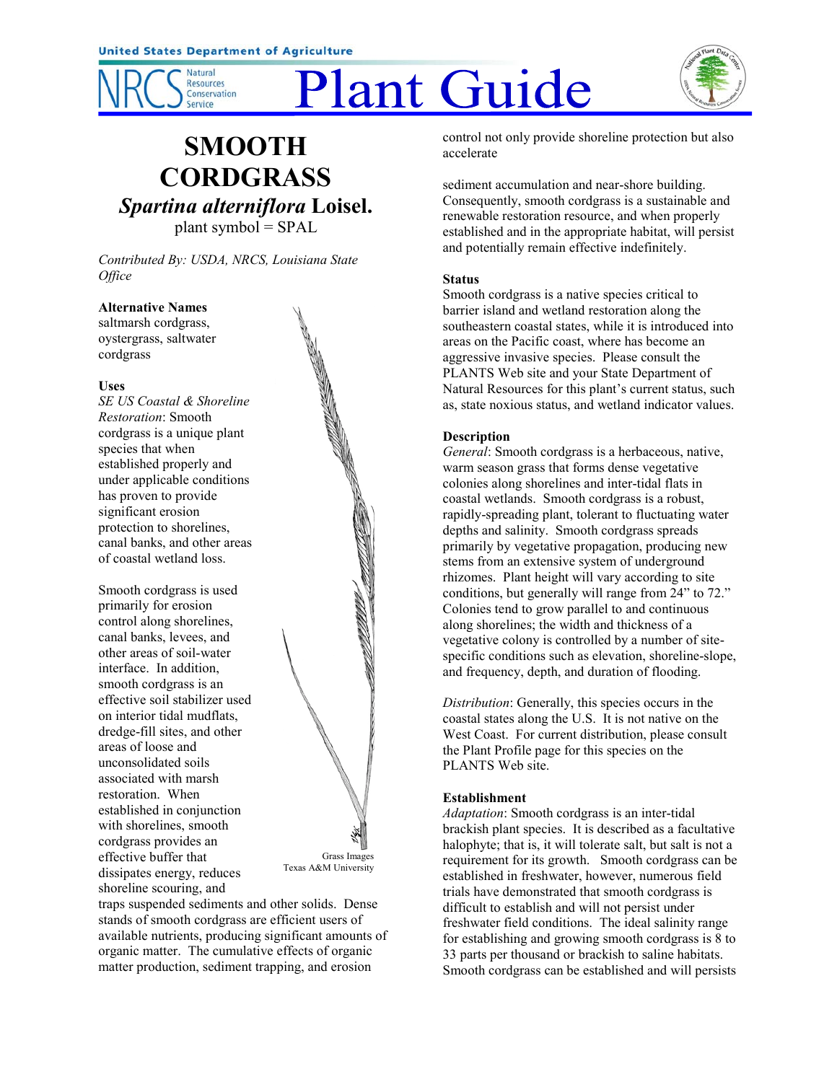

# Plant Guide



## **SMOOTH CORDGRASS** *Spartina alterniflora* **Loisel.** plant symbol = SPAL

*Contributed By: USDA, NRCS, Louisiana State Office*

#### **Alternative Names**

saltmarsh cordgrass, oystergrass, saltwater cordgrass

#### **Uses**

*SE US Coastal & Shoreline Restoration*: Smooth cordgrass is a unique plant species that when established properly and under applicable conditions has proven to provide significant erosion protection to shorelines, canal banks, and other areas of coastal wetland loss.

Smooth cordgrass is used primarily for erosion control along shorelines, canal banks, levees, and other areas of soil-water interface. In addition, smooth cordgrass is an effective soil stabilizer used on interior tidal mudflats, dredge-fill sites, and other areas of loose and unconsolidated soils associated with marsh restoration. When established in conjunction with shorelines, smooth cordgrass provides an effective buffer that dissipates energy, reduces shoreline scouring, and



traps suspended sediments and other solids. Dense stands of smooth cordgrass are efficient users of available nutrients, producing significant amounts of organic matter. The cumulative effects of organic matter production, sediment trapping, and erosion

control not only provide shoreline protection but also accelerate

sediment accumulation and near-shore building. Consequently, smooth cordgrass is a sustainable and renewable restoration resource, and when properly established and in the appropriate habitat, will persist and potentially remain effective indefinitely.

### **Status**

Smooth cordgrass is a native species critical to barrier island and wetland restoration along the southeastern coastal states, while it is introduced into areas on the Pacific coast, where has become an aggressive invasive species. Please consult the PLANTS Web site and your State Department of Natural Resources for this plant's current status, such as, state noxious status, and wetland indicator values.

### **Description**

*General*: Smooth cordgrass is a herbaceous, native, warm season grass that forms dense vegetative colonies along shorelines and inter-tidal flats in coastal wetlands. Smooth cordgrass is a robust, rapidly-spreading plant, tolerant to fluctuating water depths and salinity. Smooth cordgrass spreads primarily by vegetative propagation, producing new stems from an extensive system of underground rhizomes. Plant height will vary according to site conditions, but generally will range from 24" to 72." Colonies tend to grow parallel to and continuous along shorelines; the width and thickness of a vegetative colony is controlled by a number of sitespecific conditions such as elevation, shoreline-slope, and frequency, depth, and duration of flooding.

*Distribution*: Generally, this species occurs in the coastal states along the U.S. It is not native on the West Coast. For current distribution, please consult the Plant Profile page for this species on the PLANTS Web site.

#### **Establishment**

*Adaptation*: Smooth cordgrass is an inter-tidal brackish plant species. It is described as a facultative halophyte; that is, it will tolerate salt, but salt is not a requirement for its growth. Smooth cordgrass can be established in freshwater, however, numerous field trials have demonstrated that smooth cordgrass is difficult to establish and will not persist under freshwater field conditions. The ideal salinity range for establishing and growing smooth cordgrass is 8 to 33 parts per thousand or brackish to saline habitats. Smooth cordgrass can be established and will persists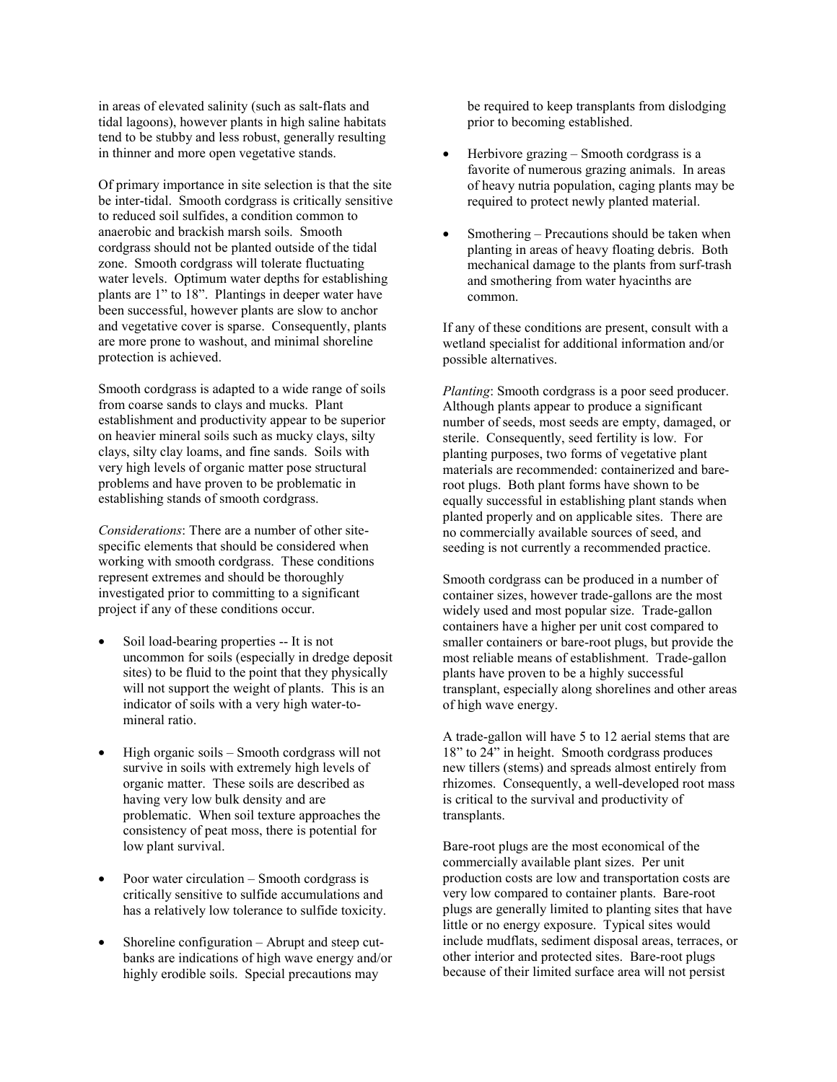in areas of elevated salinity (such as salt-flats and tidal lagoons), however plants in high saline habitats tend to be stubby and less robust, generally resulting in thinner and more open vegetative stands.

Of primary importance in site selection is that the site be inter-tidal. Smooth cordgrass is critically sensitive to reduced soil sulfides, a condition common to anaerobic and brackish marsh soils. Smooth cordgrass should not be planted outside of the tidal zone. Smooth cordgrass will tolerate fluctuating water levels. Optimum water depths for establishing plants are 1" to 18". Plantings in deeper water have been successful, however plants are slow to anchor and vegetative cover is sparse. Consequently, plants are more prone to washout, and minimal shoreline protection is achieved.

Smooth cordgrass is adapted to a wide range of soils from coarse sands to clays and mucks. Plant establishment and productivity appear to be superior on heavier mineral soils such as mucky clays, silty clays, silty clay loams, and fine sands. Soils with very high levels of organic matter pose structural problems and have proven to be problematic in establishing stands of smooth cordgrass.

*Considerations*: There are a number of other sitespecific elements that should be considered when working with smooth cordgrass. These conditions represent extremes and should be thoroughly investigated prior to committing to a significant project if any of these conditions occur.

- Soil load-bearing properties -- It is not uncommon for soils (especially in dredge deposit sites) to be fluid to the point that they physically will not support the weight of plants. This is an indicator of soils with a very high water-tomineral ratio.
- High organic soils Smooth cordgrass will not survive in soils with extremely high levels of organic matter. These soils are described as having very low bulk density and are problematic. When soil texture approaches the consistency of peat moss, there is potential for low plant survival.
- Poor water circulation  $-$  Smooth cordgrass is critically sensitive to sulfide accumulations and has a relatively low tolerance to sulfide toxicity.
- Shoreline configuration  $-$  Abrupt and steep cutbanks are indications of high wave energy and/or highly erodible soils. Special precautions may

be required to keep transplants from dislodging prior to becoming established.

- Herbivore grazing  $\sim$  Smooth cordgrass is a favorite of numerous grazing animals. In areas of heavy nutria population, caging plants may be required to protect newly planted material.
- Smothering  $-$  Precautions should be taken when planting in areas of heavy floating debris. Both mechanical damage to the plants from surf-trash and smothering from water hyacinths are common.

If any of these conditions are present, consult with a wetland specialist for additional information and/or possible alternatives.

*Planting*: Smooth cordgrass is a poor seed producer. Although plants appear to produce a significant number of seeds, most seeds are empty, damaged, or sterile. Consequently, seed fertility is low. For planting purposes, two forms of vegetative plant materials are recommended: containerized and bareroot plugs. Both plant forms have shown to be equally successful in establishing plant stands when planted properly and on applicable sites. There are no commercially available sources of seed, and seeding is not currently a recommended practice.

Smooth cordgrass can be produced in a number of container sizes, however trade-gallons are the most widely used and most popular size. Trade-gallon containers have a higher per unit cost compared to smaller containers or bare-root plugs, but provide the most reliable means of establishment. Trade-gallon plants have proven to be a highly successful transplant, especially along shorelines and other areas of high wave energy.

A trade-gallon will have 5 to 12 aerial stems that are 18" to 24" in height. Smooth cordgrass produces new tillers (stems) and spreads almost entirely from rhizomes. Consequently, a well-developed root mass is critical to the survival and productivity of transplants.

Bare-root plugs are the most economical of the commercially available plant sizes. Per unit production costs are low and transportation costs are very low compared to container plants. Bare-root plugs are generally limited to planting sites that have little or no energy exposure. Typical sites would include mudflats, sediment disposal areas, terraces, or other interior and protected sites. Bare-root plugs because of their limited surface area will not persist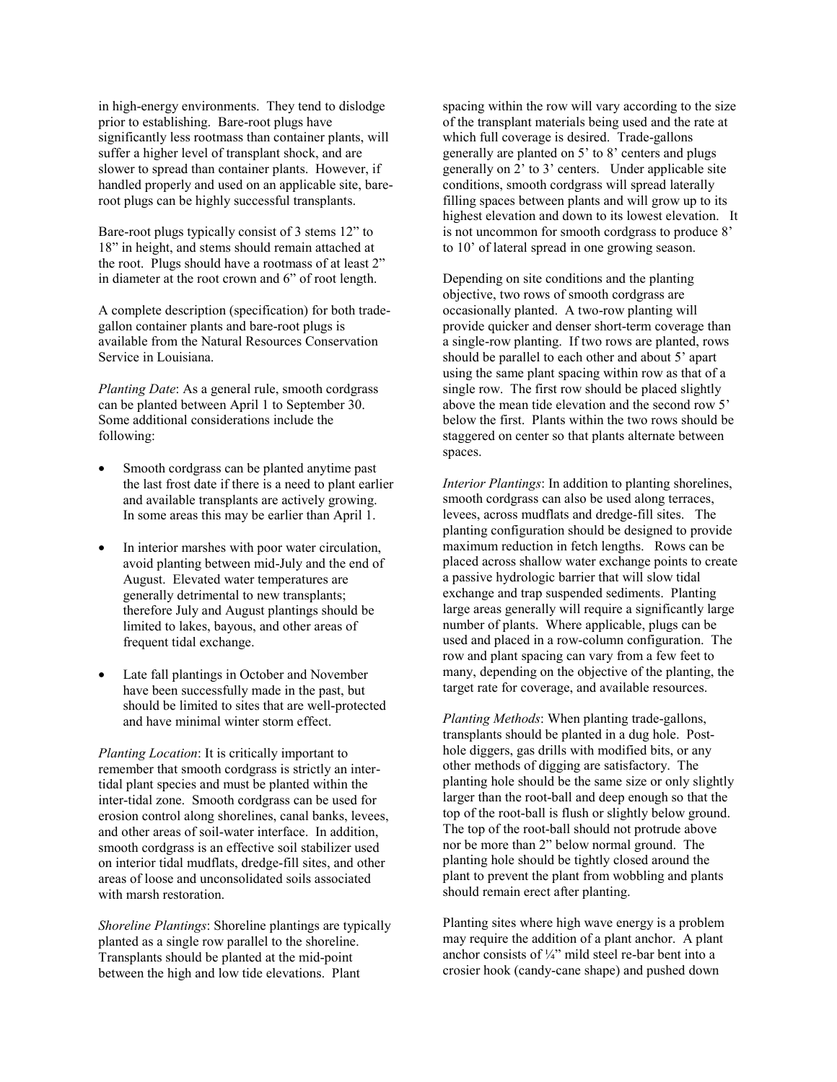in high-energy environments. They tend to dislodge prior to establishing. Bare-root plugs have significantly less rootmass than container plants, will suffer a higher level of transplant shock, and are slower to spread than container plants. However, if handled properly and used on an applicable site, bareroot plugs can be highly successful transplants.

Bare-root plugs typically consist of 3 stems 12" to 18" in height, and stems should remain attached at the root. Plugs should have a rootmass of at least 2" in diameter at the root crown and 6" of root length.

A complete description (specification) for both tradegallon container plants and bare-root plugs is available from the Natural Resources Conservation Service in Louisiana.

*Planting Date*: As a general rule, smooth cordgrass can be planted between April 1 to September 30. Some additional considerations include the following:

- Smooth cordgrass can be planted anytime past the last frost date if there is a need to plant earlier and available transplants are actively growing. In some areas this may be earlier than April 1.
- In interior marshes with poor water circulation, avoid planting between mid-July and the end of August. Elevated water temperatures are generally detrimental to new transplants; therefore July and August plantings should be limited to lakes, bayous, and other areas of frequent tidal exchange.
- Late fall plantings in October and November have been successfully made in the past, but should be limited to sites that are well-protected and have minimal winter storm effect.

*Planting Location*: It is critically important to remember that smooth cordgrass is strictly an intertidal plant species and must be planted within the inter-tidal zone. Smooth cordgrass can be used for erosion control along shorelines, canal banks, levees, and other areas of soil-water interface. In addition, smooth cordgrass is an effective soil stabilizer used on interior tidal mudflats, dredge-fill sites, and other areas of loose and unconsolidated soils associated with marsh restoration.

*Shoreline Plantings*: Shoreline plantings are typically planted as a single row parallel to the shoreline. Transplants should be planted at the mid-point between the high and low tide elevations. Plant

spacing within the row will vary according to the size of the transplant materials being used and the rate at which full coverage is desired. Trade-gallons generally are planted on  $5'$  to  $8'$  centers and plugs generally on 2' to 3' centers. Under applicable site conditions, smooth cordgrass will spread laterally filling spaces between plants and will grow up to its highest elevation and down to its lowest elevation. It is not uncommon for smooth cordgrass to produce 8<sup>'</sup> to 10' of lateral spread in one growing season.

Depending on site conditions and the planting objective, two rows of smooth cordgrass are occasionally planted. A two-row planting will provide quicker and denser short-term coverage than a single-row planting. If two rows are planted, rows should be parallel to each other and about 5' apart using the same plant spacing within row as that of a single row. The first row should be placed slightly above the mean tide elevation and the second row 5<sup>7</sup> below the first. Plants within the two rows should be staggered on center so that plants alternate between spaces.

*Interior Plantings*: In addition to planting shorelines, smooth cordgrass can also be used along terraces, levees, across mudflats and dredge-fill sites. The planting configuration should be designed to provide maximum reduction in fetch lengths. Rows can be placed across shallow water exchange points to create a passive hydrologic barrier that will slow tidal exchange and trap suspended sediments. Planting large areas generally will require a significantly large number of plants. Where applicable, plugs can be used and placed in a row-column configuration. The row and plant spacing can vary from a few feet to many, depending on the objective of the planting, the target rate for coverage, and available resources.

*Planting Methods*: When planting trade-gallons, transplants should be planted in a dug hole. Posthole diggers, gas drills with modified bits, or any other methods of digging are satisfactory. The planting hole should be the same size or only slightly larger than the root-ball and deep enough so that the top of the root-ball is flush or slightly below ground. The top of the root-ball should not protrude above nor be more than 2" below normal ground. The planting hole should be tightly closed around the plant to prevent the plant from wobbling and plants should remain erect after planting.

Planting sites where high wave energy is a problem may require the addition of a plant anchor. A plant anchor consists of  $\frac{1}{4}$ " mild steel re-bar bent into a crosier hook (candy-cane shape) and pushed down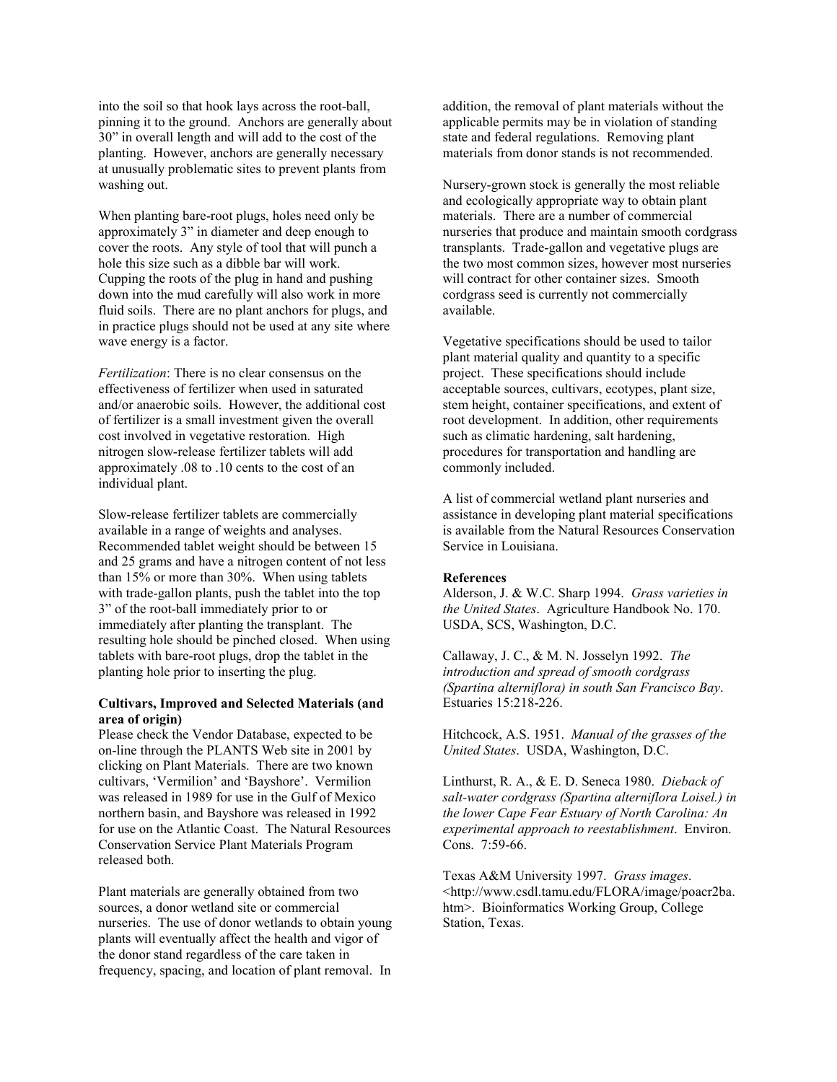into the soil so that hook lays across the root-ball, pinning it to the ground. Anchors are generally about 30" in overall length and will add to the cost of the planting. However, anchors are generally necessary at unusually problematic sites to prevent plants from washing out.

When planting bare-root plugs, holes need only be approximately 3" in diameter and deep enough to cover the roots. Any style of tool that will punch a hole this size such as a dibble bar will work. Cupping the roots of the plug in hand and pushing down into the mud carefully will also work in more fluid soils. There are no plant anchors for plugs, and in practice plugs should not be used at any site where wave energy is a factor.

*Fertilization*: There is no clear consensus on the effectiveness of fertilizer when used in saturated and/or anaerobic soils. However, the additional cost of fertilizer is a small investment given the overall cost involved in vegetative restoration. High nitrogen slow-release fertilizer tablets will add approximately .08 to .10 cents to the cost of an individual plant.

Slow-release fertilizer tablets are commercially available in a range of weights and analyses. Recommended tablet weight should be between 15 and 25 grams and have a nitrogen content of not less than 15% or more than 30%. When using tablets with trade-gallon plants, push the tablet into the top 3" of the root-ball immediately prior to or immediately after planting the transplant. The resulting hole should be pinched closed. When using tablets with bare-root plugs, drop the tablet in the planting hole prior to inserting the plug.

#### **Cultivars, Improved and Selected Materials (and area of origin)**

Please check the Vendor Database, expected to be on-line through the PLANTS Web site in 2001 by clicking on Plant Materials. There are two known cultivars, 'Vermilion' and 'Bayshore'. Vermilion was released in 1989 for use in the Gulf of Mexico northern basin, and Bayshore was released in 1992 for use on the Atlantic Coast. The Natural Resources Conservation Service Plant Materials Program released both.

Plant materials are generally obtained from two sources, a donor wetland site or commercial nurseries. The use of donor wetlands to obtain young plants will eventually affect the health and vigor of the donor stand regardless of the care taken in frequency, spacing, and location of plant removal. In addition, the removal of plant materials without the applicable permits may be in violation of standing state and federal regulations. Removing plant materials from donor stands is not recommended.

Nursery-grown stock is generally the most reliable and ecologically appropriate way to obtain plant materials. There are a number of commercial nurseries that produce and maintain smooth cordgrass transplants. Trade-gallon and vegetative plugs are the two most common sizes, however most nurseries will contract for other container sizes. Smooth cordgrass seed is currently not commercially available.

Vegetative specifications should be used to tailor plant material quality and quantity to a specific project. These specifications should include acceptable sources, cultivars, ecotypes, plant size, stem height, container specifications, and extent of root development. In addition, other requirements such as climatic hardening, salt hardening, procedures for transportation and handling are commonly included.

A list of commercial wetland plant nurseries and assistance in developing plant material specifications is available from the Natural Resources Conservation Service in Louisiana.

#### **References**

Alderson, J. & W.C. Sharp 1994. *Grass varieties in the United States*. Agriculture Handbook No. 170. USDA, SCS, Washington, D.C.

Callaway, J. C., & M. N. Josselyn 1992. *The introduction and spread of smooth cordgrass (Spartina alterniflora) in south San Francisco Bay*. Estuaries 15:218-226.

Hitchcock, A.S. 1951. *Manual of the grasses of the United States*. USDA, Washington, D.C.

Linthurst, R. A., & E. D. Seneca 1980. *Dieback of salt-water cordgrass (Spartina alterniflora Loisel.) in the lower Cape Fear Estuary of North Carolina: An experimental approach to reestablishment*. Environ. Cons. 7:59-66.

Texas A&M University 1997. *Grass images*. <http://www.csdl.tamu.edu/FLORA/image/poacr2ba. htm>. Bioinformatics Working Group, College Station, Texas.